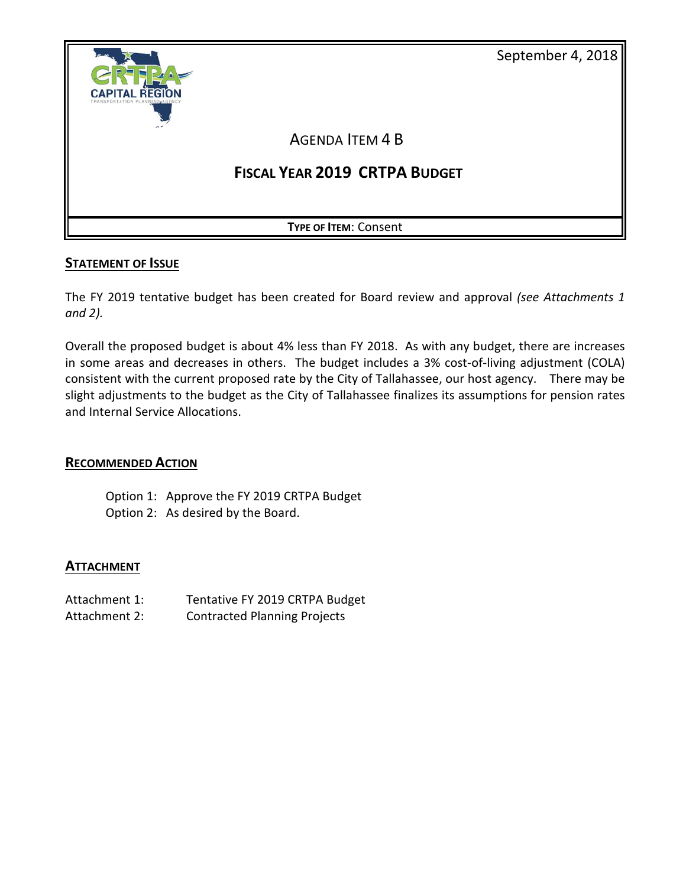



## **STATEMENT OF ISSUE**

The FY 2019 tentative budget has been created for Board review and approval *(see Attachments 1 and 2).* 

Overall the proposed budget is about 4% less than FY 2018. As with any budget, there are increases in some areas and decreases in others. The budget includes a 3% cost-of-living adjustment (COLA) consistent with the current proposed rate by the City of Tallahassee, our host agency. There may be slight adjustments to the budget as the City of Tallahassee finalizes its assumptions for pension rates and Internal Service Allocations.

## **RECOMMENDED ACTION**

Option 1: Approve the FY 2019 CRTPA Budget Option 2: As desired by the Board.

## **ATTACHMENT**

- Attachment 1: Tentative FY 2019 CRTPA Budget
- Attachment 2: Contracted Planning Projects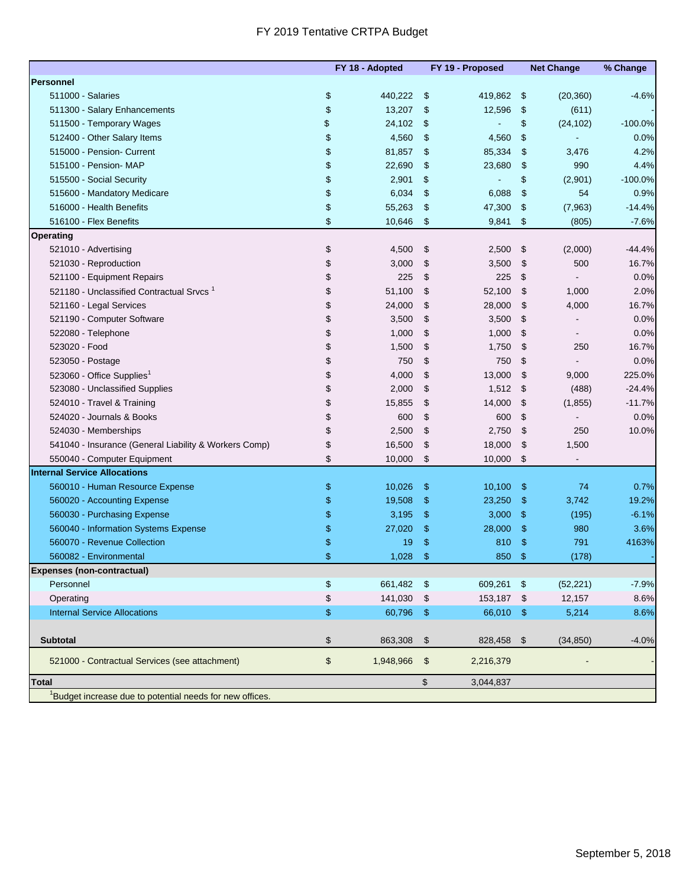## FY 2019 Tentative CRTPA Budget

|                                                                      | FY 18 - Adopted |               | FY 19 - Proposed |                | <b>Net Change</b> | % Change   |
|----------------------------------------------------------------------|-----------------|---------------|------------------|----------------|-------------------|------------|
| Personnel                                                            |                 |               |                  |                |                   |            |
| 511000 - Salaries                                                    | \$<br>440,222   | \$            | 419,862          | $\mathfrak{s}$ | (20, 360)         | $-4.6%$    |
| 511300 - Salary Enhancements                                         | \$<br>13,207    | \$            | 12,596           | \$             | (611)             |            |
| 511500 - Temporary Wages                                             | \$<br>24,102    | \$            |                  | \$             | (24, 102)         | $-100.0\%$ |
| 512400 - Other Salary Items                                          | \$<br>4,560     | \$            | 4,560            | \$             |                   | $0.0\%$    |
| 515000 - Pension - Current                                           | \$<br>81,857    | \$            | 85,334           | \$             | 3,476             | 4.2%       |
| 515100 - Pension- MAP                                                | \$<br>22,690    | \$            | 23,680           | \$             | 990               | 4.4%       |
| 515500 - Social Security                                             | \$<br>2,901     | \$            |                  | \$             | (2,901)           | $-100.0\%$ |
| 515600 - Mandatory Medicare                                          | \$<br>6,034     | \$            | 6,088            | \$             | 54                | 0.9%       |
| 516000 - Health Benefits                                             | \$<br>55,263    | \$            | 47,300           | \$             | (7,963)           | $-14.4%$   |
| 516100 - Flex Benefits                                               | \$<br>10,646    | \$            | 9,841            | \$             | (805)             | $-7.6%$    |
| <b>Operating</b>                                                     |                 |               |                  |                |                   |            |
| 521010 - Advertising                                                 | \$<br>4,500     | \$            | 2,500            | \$             | (2,000)           | $-44.4%$   |
| 521030 - Reproduction                                                | \$<br>3,000     | \$            | 3,500            | \$             | 500               | 16.7%      |
| 521100 - Equipment Repairs                                           | \$<br>225       | \$            | 225              | \$             |                   | 0.0%       |
| 521180 - Unclassified Contractual Srvcs <sup>1</sup>                 | \$<br>51,100    | \$            | 52,100           | \$             | 1,000             | 2.0%       |
| 521160 - Legal Services                                              | \$<br>24,000    | \$            | 28,000           | \$             | 4,000             | 16.7%      |
| 521190 - Computer Software                                           | \$<br>3,500     | \$            | 3,500            | \$             |                   | 0.0%       |
| 522080 - Telephone                                                   | \$<br>1,000     | \$            | 1,000            | \$             |                   | 0.0%       |
| 523020 - Food                                                        | \$<br>1,500     | \$            | 1,750            | \$             | 250               | 16.7%      |
| 523050 - Postage                                                     | \$<br>750       | \$            | 750              | \$             |                   | 0.0%       |
| 523060 - Office Supplies <sup>1</sup>                                | \$<br>4,000     | \$            | 13,000           | \$             | 9,000             | 225.0%     |
| 523080 - Unclassified Supplies                                       | \$<br>2,000     | \$            | 1,512            | \$             | (488)             | $-24.4%$   |
| 524010 - Travel & Training                                           | \$<br>15,855    | \$            | 14,000           | \$             | (1,855)           | $-11.7%$   |
| 524020 - Journals & Books                                            | \$<br>600       | \$            | 600              | \$             |                   | 0.0%       |
| 524030 - Memberships                                                 | \$<br>2,500     | \$            | 2,750            | \$             | 250               | 10.0%      |
| 541040 - Insurance (General Liability & Workers Comp)                | \$<br>16,500    | \$            | 18,000           | \$             | 1,500             |            |
| 550040 - Computer Equipment                                          | \$<br>10,000    | \$            | 10,000           | \$             |                   |            |
| <b>Internal Service Allocations</b>                                  |                 |               |                  |                |                   |            |
| 560010 - Human Resource Expense                                      | \$<br>10,026    | \$            | 10,100           | \$             | 74                | 0.7%       |
| 560020 - Accounting Expense                                          | \$<br>19,508    | \$            | 23,250           | \$             | 3,742             | 19.2%      |
| 560030 - Purchasing Expense                                          | \$<br>3,195     | \$            | 3,000            | \$             | (195)             | $-6.1%$    |
| 560040 - Information Systems Expense                                 | \$<br>27,020    | \$            | 28,000           | \$             | 980               | 3.6%       |
| 560070 - Revenue Collection                                          | \$<br>19        | \$            | 810              | \$             | 791               | 4163%      |
| 560082 - Environmental                                               | \$<br>1,028     | \$            | 850              | \$             | (178)             |            |
| <b>Expenses (non-contractual)</b>                                    |                 |               |                  |                |                   |            |
| Personnel                                                            | \$<br>661,482   | $\frac{3}{2}$ | 609,261 \$       |                | (52, 221)         | $-7.9%$    |
| Operating                                                            | \$<br>141,030   | \$            | 153,187 \$       |                | 12,157            | 8.6%       |
| <b>Internal Service Allocations</b>                                  | \$<br>60,796    | $\sqrt[6]{3}$ | 66,010 \$        |                | 5,214             | 8.6%       |
|                                                                      |                 |               |                  |                |                   |            |
| <b>Subtotal</b>                                                      | \$<br>863,308   | \$            | 828,458 \$       |                | (34, 850)         | $-4.0%$    |
| 521000 - Contractual Services (see attachment)                       | \$<br>1,948,966 | $\frac{3}{2}$ | 2,216,379        |                |                   |            |
|                                                                      |                 |               |                  |                |                   |            |
| <b>Total</b>                                                         |                 | \$            | 3,044,837        |                |                   |            |
| <sup>1</sup> Budget increase due to potential needs for new offices. |                 |               |                  |                |                   |            |